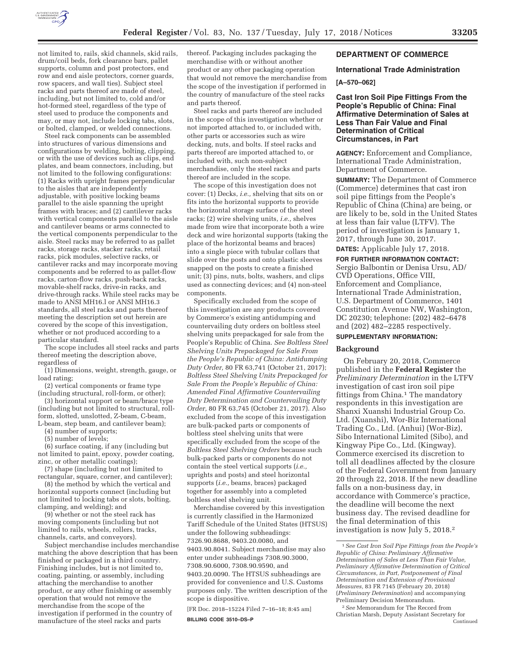

not limited to, rails, skid channels, skid rails, drum/coil beds, fork clearance bars, pallet supports, column and post protectors, end row and end aisle protectors, corner guards, row spacers, and wall ties). Subject steel racks and parts thereof are made of steel, including, but not limited to, cold and/or hot-formed steel, regardless of the type of steel used to produce the components and may, or may not, include locking tabs, slots, or bolted, clamped, or welded connections.

Steel rack components can be assembled into structures of various dimensions and configurations by welding, bolting, clipping, or with the use of devices such as clips, end plates, and beam connectors, including, but not limited to the following configurations: (1) Racks with upright frames perpendicular to the aisles that are independently adjustable, with positive locking beams parallel to the aisle spanning the upright frames with braces; and (2) cantilever racks with vertical components parallel to the aisle and cantilever beams or arms connected to the vertical components perpendicular to the aisle. Steel racks may be referred to as pallet racks, storage racks, stacker racks, retail racks, pick modules, selective racks, or cantilever racks and may incorporate moving components and be referred to as pallet-flow racks, carton-flow racks, push-back racks, movable-shelf racks, drive-in racks, and drive-through racks. While steel racks may be made to ANSI MH16.l or ANSI MH16.3 standards, all steel racks and parts thereof meeting the description set out herein are covered by the scope of this investigation, whether or not produced according to a particular standard.

The scope includes all steel racks and parts thereof meeting the description above, regardless of

(1) Dimensions, weight, strength, gauge, or load rating;

(2) vertical components or frame type (including structural, roll-form, or other);

(3) horizontal support or beam/brace type (including but not limited to structural, rollform, slotted, unslotted, Z-beam, C-beam, L-beam, step beam, and cantilever beam);

(4) number of supports;

(5) number of levels;

(6) surface coating, if any (including but not limited to paint, epoxy, powder coating, zinc, or other metallic coatings);

(7) shape (including but not limited to rectangular, square, corner, and cantilever);

(8) the method by which the vertical and horizontal supports connect (including but not limited to locking tabs or slots, bolting, clamping, and welding); and

(9) whether or not the steel rack has moving components (including but not limited to rails, wheels, rollers, tracks, channels, carts, and conveyors).

Subject merchandise includes merchandise matching the above description that has been finished or packaged in a third country. Finishing includes, but is not limited to, coating, painting, or assembly, including attaching the merchandise to another product, or any other finishing or assembly operation that would not remove the merchandise from the scope of the investigation if performed in the country of manufacture of the steel racks and parts

thereof. Packaging includes packaging the merchandise with or without another product or any other packaging operation that would not remove the merchandise from the scope of the investigation if performed in the country of manufacture of the steel racks and parts thereof.

Steel racks and parts thereof are included in the scope of this investigation whether or not imported attached to, or included with, other parts or accessories such as wire decking, nuts, and bolts. If steel racks and parts thereof are imported attached to, or included with, such non-subject merchandise, only the steel racks and parts thereof are included in the scope.

The scope of this investigation does not cover: (1) Decks, *i.e.,* shelving that sits on or fits into the horizontal supports to provide the horizontal storage surface of the steel racks; (2) wire shelving units, *i.e.,* shelves made from wire that incorporate both a wire deck and wire horizontal supports (taking the place of the horizontal beams and braces) into a single piece with tubular collars that slide over the posts and onto plastic sleeves snapped on the posts to create a finished unit; (3) pins, nuts, bolts, washers, and clips used as connecting devices; and (4) non-steel components.

Specifically excluded from the scope of this investigation are any products covered by Commerce's existing antidumping and countervailing duty orders on boltless steel shelving units prepackaged for sale from the People's Republic of China. *See Boltless Steel Shelving Units Prepackaged for Sale From the People's Republic of China: Antidumping Duty Order,* 80 FR 63,741 (October 21, 2017); *Boltless Steel Shelving Units Prepackaged for Sale From the People's Republic of China: Amended Final Affirmative Countervailing Duty Determination and Countervailing Duty Order,* 80 FR 63,745 (October 21, 2017). Also excluded from the scope of this investigation are bulk-packed parts or components of boltless steel shelving units that were specifically excluded from the scope of the *Boltless Steel Shelving Orders* because such bulk-packed parts or components do not contain the steel vertical supports (*i.e.,*  uprights and posts) and steel horizontal supports (*i.e.,* beams, braces) packaged together for assembly into a completed boltless steel shelving unit.

Merchandise covered by this investigation is currently classified in the Harmonized Tariff Schedule of the United States (HTSUS) under the following subheadings: 7326.90.8688, 9403.20.0080, and 9403.90.8041. Subject merchandise may also enter under subheadings 7308.90.3000, 7308.90.6000, 7308.90.9590, and 9403.20.0090. The HTSUS subheadings are provided for convenience and U.S. Customs purposes only. The written description of the scope is dispositive.

[FR Doc. 2018–15224 Filed 7–16–18; 8:45 am]

**BILLING CODE 3510–DS–P** 

## **DEPARTMENT OF COMMERCE**

### **International Trade Administration**

### **[A–570–062]**

**Cast Iron Soil Pipe Fittings From the People's Republic of China: Final Affirmative Determination of Sales at Less Than Fair Value and Final Determination of Critical Circumstances, in Part** 

**AGENCY:** Enforcement and Compliance, International Trade Administration, Department of Commerce.

**SUMMARY:** The Department of Commerce (Commerce) determines that cast iron soil pipe fittings from the People's Republic of China (China) are being, or are likely to be, sold in the United States at less than fair value (LTFV). The period of investigation is January 1, 2017, through June 30, 2017.

**DATES:** Applicable July 17, 2018.

**FOR FURTHER INFORMATION CONTACT:**  Sergio Balbontin or Denisa Ursu, AD/ CVD Operations, Office VIII, Enforcement and Compliance, International Trade Administration, U.S. Department of Commerce, 1401 Constitution Avenue NW, Washington, DC 20230; telephone: (202) 482–6478 and (202) 482–2285 respectively.

### **SUPPLEMENTARY INFORMATION:**

#### **Background**

On February 20, 2018, Commerce published in the **Federal Register** the *Preliminary Determination* in the LTFV investigation of cast iron soil pipe fittings from China.<sup>1</sup> The mandatory respondents in this investigation are Shanxi Xuanshi Industrial Group Co. Ltd. (Xuanshi), Wor-Biz International Trading Co., Ltd. (Anhui) (Wor-Biz), Sibo International Limited (Sibo), and Kingway Pipe Co., Ltd. (Kingway). Commerce exercised its discretion to toll all deadlines affected by the closure of the Federal Government from January 20 through 22, 2018. If the new deadline falls on a non-business day, in accordance with Commerce's practice, the deadline will become the next business day. The revised deadline for the final determination of this investigation is now July 5, 2018.2

<sup>1</sup>*See Cast Iron Soil Pipe Fittings from the People's Republic of China: Preliminary Affirmative Determination of Sales at Less Than Fair Value, Preliminary Affirmative Determination of Critical Circumstances, in Part, Postponement of Final Determination and Extension of Provisional Measures,* 83 FR 7145 (February 20, 2018) (*Preliminary Determination*) and accompanying Preliminary Decision Memorandum.

<sup>2</sup>*See* Memorandum for The Record from Christian Marsh, Deputy Assistant Secretary for Continued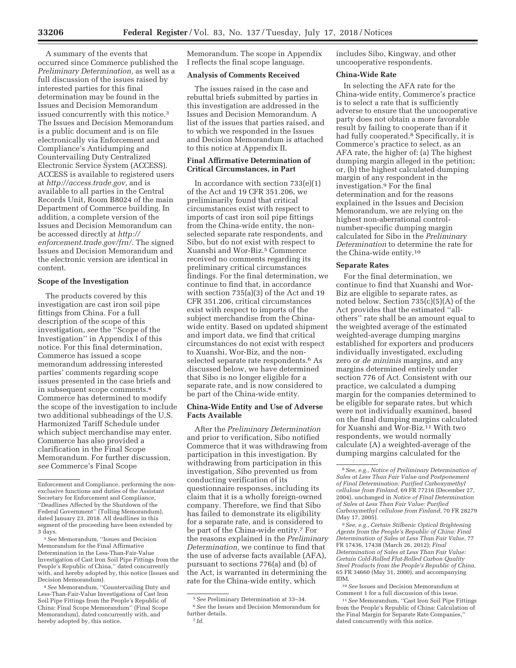A summary of the events that occurred since Commerce published the *Preliminary Determination,* as well as a full discussion of the issues raised by interested parties for this final determination may be found in the Issues and Decision Memorandum issued concurrently with this notice.<sup>3</sup> The Issues and Decision Memorandum is a public document and is on file electronically via Enforcement and Compliance's Antidumping and Countervailing Duty Centralized Electronic Service System (ACCESS). ACCESS is available to registered users at *http://access.trade.gov,* and is available to all parties in the Central Records Unit, Room B8024 of the main Department of Commerce building. In addition, a complete version of the Issues and Decision Memorandum can be accessed directly at *http:// enforcement.trade.gov/frn/.* The signed Issues and Decision Memorandum and the electronic version are identical in content.

## **Scope of the Investigation**

The products covered by this investigation are cast iron soil pipe fittings from China. For a full description of the scope of this investigation, *see* the ''Scope of the Investigation'' in Appendix I of this notice. For this final determination, Commerce has issued a scope memorandum addressing interested parties' comments regarding scope issues presented in the case briefs and in subsequent scope comments.4 Commerce has determined to modify the scope of the investigation to include two additional subheadings of the U.S. Harmonized Tariff Schedule under which subject merchandise may enter. Commerce has also provided a clarification in the Final Scope Memorandum. For further discussion, *see* Commerce's Final Scope

3*See* Memorandum, ''Issues and Decision Memorandum for the Final Affirmative Determination in the Less-Than-Fair-Value Investigation of Cast Iron Soil Pipe Fittings from the People's Republic of China,'' dated concurrently with, and hereby adopted by, this notice (Issues and Decision Memorandum).

Memorandum. The scope in Appendix I reflects the final scope language.

## **Analysis of Comments Received**

The issues raised in the case and rebuttal briefs submitted by parties in this investigation are addressed in the Issues and Decision Memorandum. A list of the issues that parties raised, and to which we responded in the Issues and Decision Memorandum is attached to this notice at Appendix II.

# **Final Affirmative Determination of Critical Circumstances, in Part**

In accordance with section 733(e)(1) of the Act and 19 CFR 351.206, we preliminarily found that critical circumstances exist with respect to imports of cast iron soil pipe fittings from the China-wide entity, the nonselected separate rate respondents, and Sibo, but do not exist with respect to Xuanshi and Wor-Biz.5 Commerce received no comments regarding its preliminary critical circumstances findings. For the final determination, we continue to find that, in accordance with section 735(a)(3) of the Act and 19 CFR 351.206, critical circumstances exist with respect to imports of the subject merchandise from the Chinawide entity. Based on updated shipment and import data, we find that critical circumstances do not exist with respect to Xuanshi, Wor-Biz, and the nonselected separate rate respondents.<sup>6</sup> As discussed below, we have determined that Sibo is no longer eligible for a separate rate, and is now considered to be part of the China-wide entity.

## **China-Wide Entity and Use of Adverse Facts Available**

After the *Preliminary Determination*  and prior to verification, Sibo notified Commerce that it was withdrawing from participation in this investigation. By withdrawing from participation in this investigation, Sibo prevented us from conducting verification of its questionnaire responses, including its claim that it is a wholly foreign-owned company. Therefore, we find that Sibo has failed to demonstrate its eligibility for a separate rate, and is considered to be part of the China-wide entity.7 For the reasons explained in the *Preliminary Determination,* we continue to find that the use of adverse facts available (AFA), pursuant to sections 776(a) and (b) of the Act, is warranted in determining the rate for the China-wide entity, which

includes Sibo, Kingway, and other uncooperative respondents.

### **China-Wide Rate**

In selecting the AFA rate for the China-wide entity, Commerce's practice is to select a rate that is sufficiently adverse to ensure that the uncooperative party does not obtain a more favorable result by failing to cooperate than if it had fully cooperated.8 Specifically, it is Commerce's practice to select, as an AFA rate, the higher of: (a) The highest dumping margin alleged in the petition; or, (b) the highest calculated dumping margin of any respondent in the investigation.9 For the final determination and for the reasons explained in the Issues and Decision Memorandum, we are relying on the highest non-aberrational controlnumber-specific dumping margin calculated for Sibo in the *Preliminary Determination* to determine the rate for the China-wide entity.10

### **Separate Rates**

For the final determination, we continue to find that Xuanshi and Wor-Biz are eligible to separate rates, as noted below. Section 735(c)(5)(A) of the Act provides that the estimated ''allothers'' rate shall be an amount equal to the weighted average of the estimated weighted-average dumping margins established for exporters and producers individually investigated, excluding zero or *de minimis* margins, and any margins determined entirely under section 776 of Act. Consistent with our practice, we calculated a dumping margin for the companies determined to be eligible for separate rates, but which were not individually examined, based on the final dumping margins calculated for Xuanshi and Wor-Biz.<sup>11</sup> With two respondents, we would normally calculate (A) a weighted-average of the dumping margins calculated for the

10*See* Issues and Decision Memorandum at Comment 1 for a full discussion of this issue.

Enforcement and Compliance, performing the nonexclusive functions and duties of the Assistant Secretary for Enforcement and Compliance, ''Deadlines Affected by the Shutdown of the Federal Government'' (Tolling Memorandum), dated January 23, 2018. All deadlines in this segment of the proceeding have been extended by 3 days.

<sup>4</sup>*See* Memorandum, ''Countervailing Duty and Less-Than-Fair-Value Investigations of Cast Iron Soil Pipe Fittings from the People's Republic of China: Final Scope Memorandum'' (Final Scope Memorandum), dated concurrently with, and hereby adopted by, this notice.

<sup>5</sup>*See* Preliminary Determination at 33–34. 6*See* the Issues and Decision Memorandum for further details. 7 *Id.* 

<sup>8</sup>*See, e.g., Notice of Preliminary Determination of Sales at Less Than Fair Value and Postponement of Final Determination: Purified Carboxymethyl cellulose from Finland,* 69 FR 77216 (December 27, 2004), unchanged in *Notice of Final Determination of Sales at Less Than Fair Value: Purified Carboxymethyl cellulose from Finland,* 70 FR 28279 (May 17, 2005).

<sup>9</sup>*See, e.g., Certain Stilbenic Optical Brightening Agents from the People's Republic of China: Final Determination of Sales at Less Than Fair Value,* 77 FR 17436, 17438 (March 26, 2012); *Final Determination of Sales at Less Than Fair Value: Certain Cold-Rolled Flat-Rolled Carbon Quality Steel Products from the People's Republic of China,*  65 FR 34660 (May 31, 2000), and accompanying IDM.

<sup>11</sup>*See* Memorandum, ''Cast Iron Soil Pipe Fittings from the People's Republic of China: Calculation of the Final Margin for Separate Rate Companies,'' dated concurrently with this notice.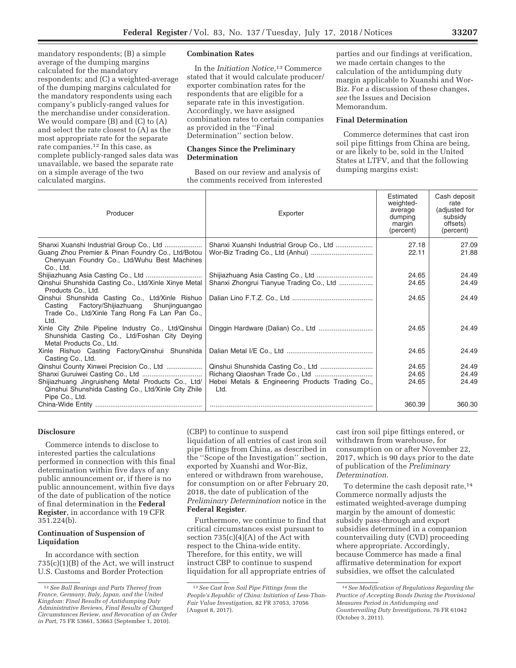mandatory respondents; (B) a simple average of the dumping margins calculated for the mandatory respondents; and (C) a weighted-average of the dumping margins calculated for the mandatory respondents using each company's publicly-ranged values for the merchandise under consideration. We would compare (B) and (C) to (A) and select the rate closest to (A) as the most appropriate rate for the separate rate companies.12 In this case, as complete publicly-ranged sales data was unavailable, we based the separate rate on a simple average of the two calculated margins.

## **Combination Rates**

In the *Initiation Notice,*13 Commerce stated that it would calculate producer/ exporter combination rates for the respondents that are eligible for a separate rate in this investigation. Accordingly, we have assigned combination rates to certain companies as provided in the ''Final Determination'' section below.

### **Changes Since the Preliminary Determination**

Based on our review and analysis of the comments received from interested parties and our findings at verification, we made certain changes to the calculation of the antidumping duty margin applicable to Xuanshi and Wor-Biz. For a discussion of these changes, *see* the Issues and Decision Memorandum.

# **Final Determination**

Commerce determines that cast iron soil pipe fittings from China are being, or are likely to be, sold in the United States at LTFV, and that the following dumping margins exist:

| Producer                                                                                                                                                   | Exporter                                                 | Estimated<br>weighted-<br>average<br>dumping<br>margin<br>(percent) | Cash deposit<br>rate<br>(adjusted for<br>subsidy<br>offsets)<br>(percent) |
|------------------------------------------------------------------------------------------------------------------------------------------------------------|----------------------------------------------------------|---------------------------------------------------------------------|---------------------------------------------------------------------------|
| Shanxi Xuanshi Industrial Group Co., Ltd<br>Guang Zhou Premier & Pinan Foundry Co., Ltd/Botou<br>Chenyuan Foundry Co., Ltd/Wuhu Best Machines<br>Co., Ltd. |                                                          | 27.18<br>22.11                                                      | 27.09<br>21.88                                                            |
| Qinshui Shunshida Casting Co., Ltd/Xinle Xinye Metal<br>Products Co., Ltd.                                                                                 | Shijiazhuang Asia Casting Co., Ltd                       | 24.65<br>24.65                                                      | 24.49<br>24.49                                                            |
| Qinshui Shunshida Casting Co., Ltd/Xinle Rishuo<br>Casting Factory/Shijiazhuang Shunjinguangao<br>Trade Co., Ltd/Xinle Tang Rong Fa Lan Pan Co.,<br>Ltd.   |                                                          | 24.65                                                               | 24.49                                                                     |
| Xinle City Zhile Pipeline Industry Co., Ltd/Qinshui<br>Shunshida Casting Co., Ltd/Foshan City Deying<br>Metal Products Co., Ltd.                           |                                                          | 24.65                                                               | 24.49                                                                     |
| Xinle Rishuo Casting Factory/Qinshui Shunshida<br>Casting Co., Ltd.                                                                                        |                                                          | 24.65                                                               | 24.49                                                                     |
| Qinshui County Xinwei Precision Co., Ltd                                                                                                                   |                                                          | 24.65                                                               | 24.49                                                                     |
|                                                                                                                                                            |                                                          | 24.65                                                               | 24.49                                                                     |
| Shijiazhuang Jingruisheng Metal Products Co., Ltd/<br>Qinshui Shunshida Casting Co., Ltd/Xinle City Zhile<br>Pipe Co., Ltd.                                | Hebei Metals & Engineering Products Trading Co.,<br>Ltd. | 24.65                                                               | 24.49                                                                     |
|                                                                                                                                                            |                                                          | 360.39                                                              | 360.30                                                                    |

# **Disclosure**

Commerce intends to disclose to interested parties the calculations performed in connection with this final determination within five days of any public announcement or, if there is no public announcement, within five days of the date of publication of the notice of final determination in the **Federal Register**, in accordance with 19 CFR 351.224(b).

## **Continuation of Suspension of Liquidation**

In accordance with section 735(c)(1)(B) of the Act, we will instruct U.S. Customs and Border Protection

(CBP) to continue to suspend liquidation of all entries of cast iron soil pipe fittings from China, as described in the ''Scope of the Investigation'' section, exported by Xuanshi and Wor-Biz, entered or withdrawn from warehouse, for consumption on or after February 20, 2018, the date of publication of the *Preliminary Determination* notice in the **Federal Register**.

Furthermore, we continue to find that critical circumstances exist pursuant to section  $735(c)(4)(A)$  of the Act with respect to the China-wide entity. Therefore, for this entity, we will instruct CBP to continue to suspend liquidation for all appropriate entries of

cast iron soil pipe fittings entered, or withdrawn from warehouse, for consumption on or after November 22, 2017, which is 90 days prior to the date of publication of the *Preliminary Determination.* 

To determine the cash deposit rate,14 Commerce normally adjusts the estimated weighted-average dumping margin by the amount of domestic subsidy pass-through and export subsidies determined in a companion countervailing duty (CVD) proceeding where appropriate. Accordingly, because Commerce has made a final affirmative determination for export subsidies, we offset the calculated

<sup>12</sup>*See Ball Bearings and Parts Thereof from France, Germany, Italy, Japan, and the United Kingdom: Final Results of Antidumping Duty Administrative Reviews, Final Results of Changed Circumstances Review, and Revocation of an Order in Part,* 75 FR 53661, 53663 (September 1, 2010).

<sup>13</sup>*See Cast Iron Soil Pipe Fittings from the People's Republic of China: Initiation of Less-Than-Fair Value Investigation,* 82 FR 37053, 37056 (August 8, 2017).

<sup>14</sup>*See Modification of Regulations Regarding the Practice of Accepting Bonds During the Provisional Measures Period in Antidumping and Countervailing Duty Investigations,* 76 FR 61042 (October 3, 2011).